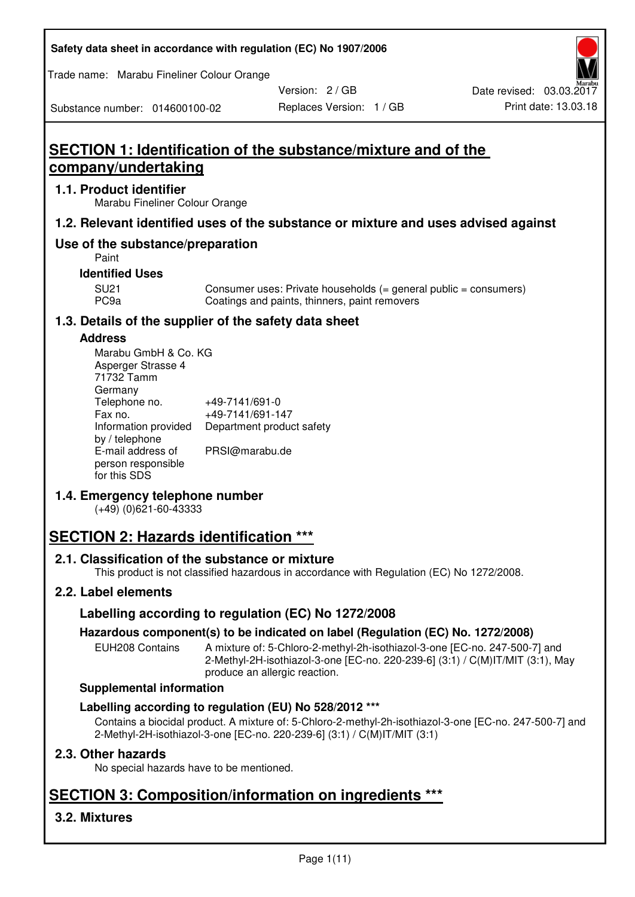| Safety data sheet in accordance with regulation (EC) No 1907/2006 |  |
|-------------------------------------------------------------------|--|
|-------------------------------------------------------------------|--|

Trade name: Marabu Fineliner Colour Orange

Version: 2 / GB

# Substance number: 014600100-02

# **SECTION 1: Identification of the substance/mixture and of the company/undertaking**

#### **1.1. Product identifier**

Marabu Fineliner Colour Orange

## **1.2. Relevant identified uses of the substance or mixture and uses advised against**

## **Use of the substance/preparation**

Paint

#### **Identified Uses**

SU21 Consumer uses: Private households (= general public = consumers)<br>PC9a Coatings and paints, thinners, paint removers Coatings and paints, thinners, paint removers

## **1.3. Details of the supplier of the safety data sheet**

#### **Address**

| Marabu GmbH & Co. KG |                           |
|----------------------|---------------------------|
| Asperger Strasse 4   |                           |
| 71732 Tamm           |                           |
| Germany              |                           |
| Telephone no.        | +49-7141/691-0            |
| Fax no.              | +49-7141/691-147          |
| Information provided | Department product safety |
| by / telephone       |                           |
| E-mail address of    | PRSI@marabu.de            |
| person responsible   |                           |
| for this SDS         |                           |

## **1.4. Emergency telephone number**

(+49) (0)621-60-43333

# **SECTION 2: Hazards identification \*\*\***

## **2.1. Classification of the substance or mixture**

This product is not classified hazardous in accordance with Regulation (EC) No 1272/2008.

## **2.2. Label elements**

## **Labelling according to regulation (EC) No 1272/2008**

## **Hazardous component(s) to be indicated on label (Regulation (EC) No. 1272/2008)**

EUH208 Contains A mixture of: 5-Chloro-2-methyl-2h-isothiazol-3-one [EC-no. 247-500-7] and 2-Methyl-2H-isothiazol-3-one [EC-no. 220-239-6] (3:1) / C(M)IT/MIT (3:1), May produce an allergic reaction.

#### **Supplemental information**

## **Labelling according to regulation (EU) No 528/2012 \*\*\***

Contains a biocidal product. A mixture of: 5-Chloro-2-methyl-2h-isothiazol-3-one [EC-no. 247-500-7] and 2-Methyl-2H-isothiazol-3-one [EC-no. 220-239-6] (3:1) / C(M)IT/MIT (3:1)

## **2.3. Other hazards**

No special hazards have to be mentioned.

# **SECTION 3: Composition/information on ingredients \*\*\***

## **3.2. Mixtures**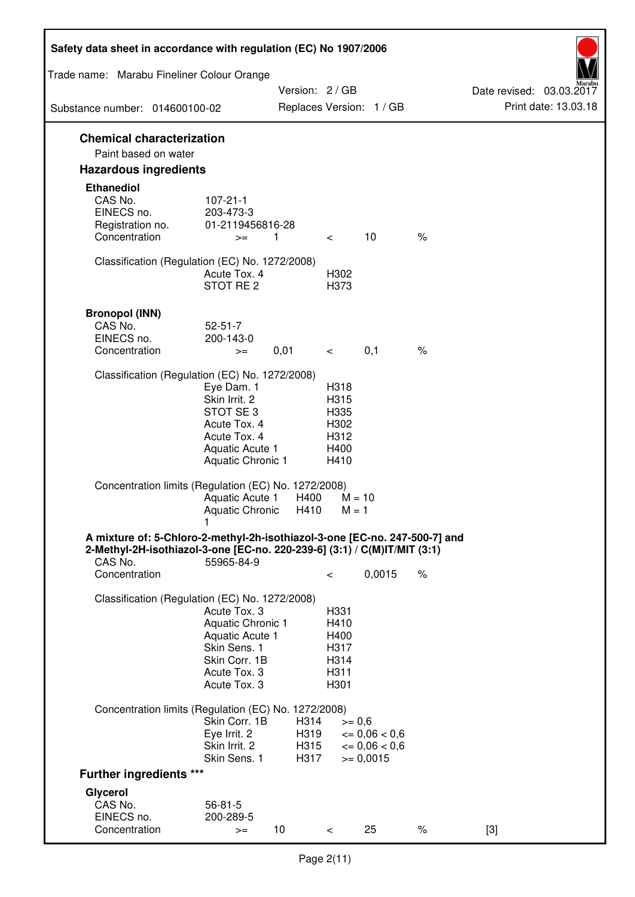| Safety data sheet in accordance with regulation (EC) No 1907/2006                                                                                                 |                                                                                                                       |                              |                                                      |                                                                  |      |                                                  |
|-------------------------------------------------------------------------------------------------------------------------------------------------------------------|-----------------------------------------------------------------------------------------------------------------------|------------------------------|------------------------------------------------------|------------------------------------------------------------------|------|--------------------------------------------------|
| Trade name: Marabu Fineliner Colour Orange                                                                                                                        |                                                                                                                       |                              |                                                      |                                                                  |      |                                                  |
|                                                                                                                                                                   |                                                                                                                       | Version: 2/GB                |                                                      |                                                                  |      | Date revised: 03.03.2017<br>Print date: 13.03.18 |
| Substance number: 014600100-02                                                                                                                                    |                                                                                                                       |                              |                                                      | Replaces Version: 1 / GB                                         |      |                                                  |
| <b>Chemical characterization</b><br>Paint based on water                                                                                                          |                                                                                                                       |                              |                                                      |                                                                  |      |                                                  |
| <b>Hazardous ingredients</b>                                                                                                                                      |                                                                                                                       |                              |                                                      |                                                                  |      |                                                  |
| <b>Ethanediol</b><br>CAS No.<br>EINECS no.<br>Registration no.<br>Concentration                                                                                   | $107 - 21 - 1$<br>203-473-3<br>01-2119456816-28<br>$>=$                                                               | $\mathbf{1}$                 | $\lt$                                                | 10                                                               | $\%$ |                                                  |
| Classification (Regulation (EC) No. 1272/2008)                                                                                                                    | Acute Tox. 4<br>STOT RE <sub>2</sub>                                                                                  |                              | H302<br>H373                                         |                                                                  |      |                                                  |
| <b>Bronopol (INN)</b><br>CAS No.<br>EINECS no.<br>Concentration                                                                                                   | $52 - 51 - 7$<br>200-143-0<br>$>=$                                                                                    | 0,01                         | $\lt$                                                | 0,1                                                              | $\%$ |                                                  |
| Classification (Regulation (EC) No. 1272/2008)                                                                                                                    |                                                                                                                       |                              |                                                      |                                                                  |      |                                                  |
|                                                                                                                                                                   | Eye Dam. 1<br>Skin Irrit. 2<br>STOT SE 3<br>Acute Tox. 4<br>Acute Tox. 4<br>Aquatic Acute 1<br>Aquatic Chronic 1      |                              | H318<br>H315<br>H335<br>H302<br>H312<br>H400<br>H410 |                                                                  |      |                                                  |
| Concentration limits (Regulation (EC) No. 1272/2008)                                                                                                              | Aquatic Acute 1<br>Aquatic Chronic                                                                                    | H400<br>H410                 | $M = 10$<br>$M = 1$                                  |                                                                  |      |                                                  |
| A mixture of: 5-Chloro-2-methyl-2h-isothiazol-3-one [EC-no. 247-500-7] and<br>2-Methyl-2H-isothiazol-3-one [EC-no. 220-239-6] (3:1) / C(M)IT/MIT (3:1)<br>CAS No. | 55965-84-9                                                                                                            |                              |                                                      |                                                                  |      |                                                  |
| Concentration                                                                                                                                                     |                                                                                                                       |                              | $\,<\,$                                              | 0,0015                                                           | $\%$ |                                                  |
| Classification (Regulation (EC) No. 1272/2008)                                                                                                                    | Acute Tox, 3<br>Aquatic Chronic 1<br>Aquatic Acute 1<br>Skin Sens. 1<br>Skin Corr. 1B<br>Acute Tox. 3<br>Acute Tox. 3 |                              | H331<br>H410<br>H400<br>H317<br>H314<br>H311<br>H301 |                                                                  |      |                                                  |
| Concentration limits (Regulation (EC) No. 1272/2008)                                                                                                              |                                                                                                                       |                              |                                                      |                                                                  |      |                                                  |
|                                                                                                                                                                   | Skin Corr. 1B<br>Eye Irrit. 2<br>Skin Irrit. 2<br>Skin Sens. 1                                                        | H314<br>H319<br>H315<br>H317 | $>= 0,6$                                             | $\epsilon = 0.06 < 0.6$<br>$\epsilon = 0.06 < 0.6$<br>$= 0,0015$ |      |                                                  |
| <b>Further ingredients ***</b>                                                                                                                                    |                                                                                                                       |                              |                                                      |                                                                  |      |                                                  |
| Glycerol<br>CAS No.<br>EINECS no.<br>Concentration                                                                                                                | $56 - 81 - 5$<br>200-289-5<br>$>=$                                                                                    | 10                           | $\,<\,$                                              | 25                                                               | $\%$ | $[3]$                                            |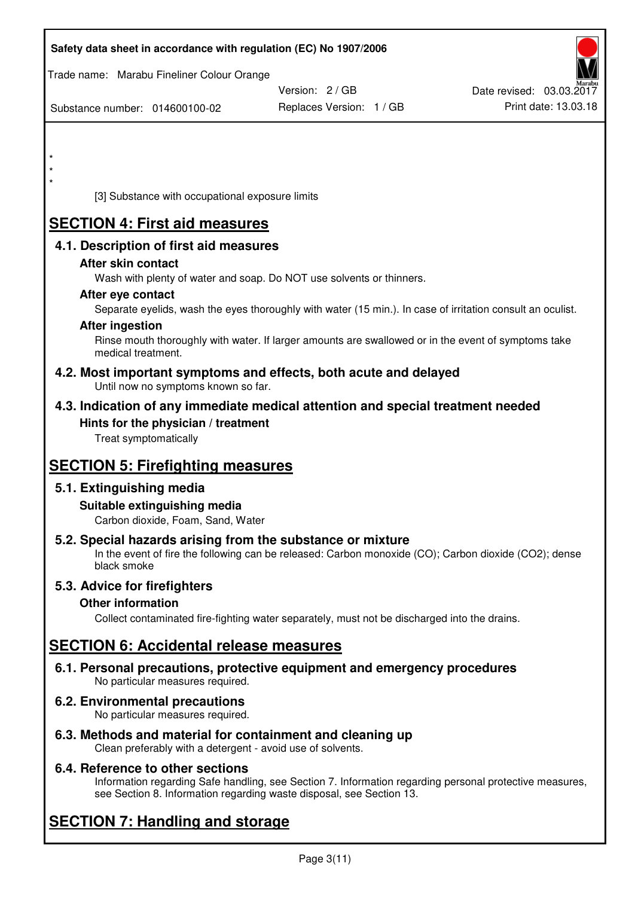| Safety data sheet in accordance with regulation (EC) No 1907/2006                                                                                                                  |                          |                          |
|------------------------------------------------------------------------------------------------------------------------------------------------------------------------------------|--------------------------|--------------------------|
| Trade name: Marabu Fineliner Colour Orange                                                                                                                                         |                          |                          |
|                                                                                                                                                                                    | Version: 2 / GB          | Date revised: 03.03.2017 |
| Substance number: 014600100-02                                                                                                                                                     | Replaces Version: 1 / GB | Print date: 13.03.18     |
|                                                                                                                                                                                    |                          |                          |
|                                                                                                                                                                                    |                          |                          |
|                                                                                                                                                                                    |                          |                          |
| *<br>[3] Substance with occupational exposure limits                                                                                                                               |                          |                          |
|                                                                                                                                                                                    |                          |                          |
| <b>SECTION 4: First aid measures</b>                                                                                                                                               |                          |                          |
| 4.1. Description of first aid measures                                                                                                                                             |                          |                          |
| After skin contact                                                                                                                                                                 |                          |                          |
| Wash with plenty of water and soap. Do NOT use solvents or thinners.                                                                                                               |                          |                          |
| After eye contact<br>Separate eyelids, wash the eyes thoroughly with water (15 min.). In case of irritation consult an oculist.                                                    |                          |                          |
| <b>After ingestion</b>                                                                                                                                                             |                          |                          |
| Rinse mouth thoroughly with water. If larger amounts are swallowed or in the event of symptoms take                                                                                |                          |                          |
| medical treatment.                                                                                                                                                                 |                          |                          |
| 4.2. Most important symptoms and effects, both acute and delayed<br>Until now no symptoms known so far.                                                                            |                          |                          |
| 4.3. Indication of any immediate medical attention and special treatment needed                                                                                                    |                          |                          |
| Hints for the physician / treatment                                                                                                                                                |                          |                          |
| Treat symptomatically                                                                                                                                                              |                          |                          |
| <b>SECTION 5: Firefighting measures</b>                                                                                                                                            |                          |                          |
| 5.1. Extinguishing media                                                                                                                                                           |                          |                          |
| Suitable extinguishing media                                                                                                                                                       |                          |                          |
| Carbon dioxide, Foam, Sand, Water                                                                                                                                                  |                          |                          |
| 5.2. Special hazards arising from the substance or mixture<br>In the event of fire the following can be released: Carbon monoxide (CO); Carbon dioxide (CO2); dense<br>black smoke |                          |                          |
| 5.3. Advice for firefighters                                                                                                                                                       |                          |                          |
| <b>Other information</b>                                                                                                                                                           |                          |                          |
| Collect contaminated fire-fighting water separately, must not be discharged into the drains.                                                                                       |                          |                          |
| <b>SECTION 6: Accidental release measures</b>                                                                                                                                      |                          |                          |
| 6.1. Personal precautions, protective equipment and emergency procedures<br>No particular measures required.                                                                       |                          |                          |
| 6.2. Environmental precautions<br>No particular measures required.                                                                                                                 |                          |                          |
| 6.3. Methods and material for containment and cleaning up                                                                                                                          |                          |                          |

Clean preferably with a detergent - avoid use of solvents.

## **6.4. Reference to other sections**

Information regarding Safe handling, see Section 7. Information regarding personal protective measures, see Section 8. Information regarding waste disposal, see Section 13.

# **SECTION 7: Handling and storage**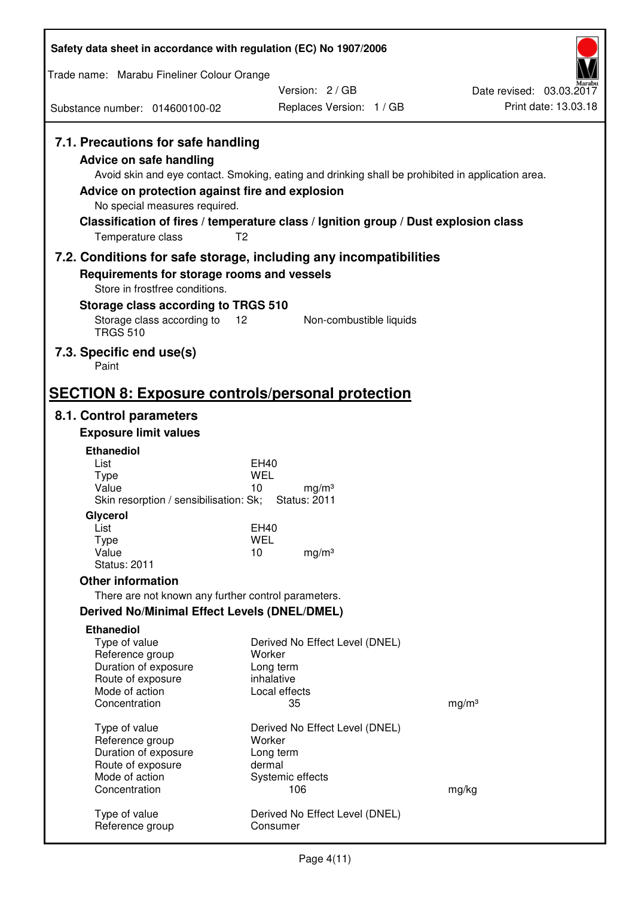| Safety data sheet in accordance with regulation (EC) No 1907/2006                                                                                                                        |                                                                                                                                                                                          |                          |
|------------------------------------------------------------------------------------------------------------------------------------------------------------------------------------------|------------------------------------------------------------------------------------------------------------------------------------------------------------------------------------------|--------------------------|
| Trade name: Marabu Fineliner Colour Orange                                                                                                                                               |                                                                                                                                                                                          |                          |
|                                                                                                                                                                                          | Version: 2/GB                                                                                                                                                                            | Date revised: 03.03.2017 |
| Substance number: 014600100-02                                                                                                                                                           | Replaces Version: 1 / GB                                                                                                                                                                 | Print date: 13.03.18     |
| 7.1. Precautions for safe handling<br>Advice on safe handling<br>Advice on protection against fire and explosion<br>No special measures required.<br>T <sub>2</sub><br>Temperature class | Avoid skin and eye contact. Smoking, eating and drinking shall be prohibited in application area.<br>Classification of fires / temperature class / Ignition group / Dust explosion class |                          |
| 7.2. Conditions for safe storage, including any incompatibilities                                                                                                                        |                                                                                                                                                                                          |                          |
| Requirements for storage rooms and vessels                                                                                                                                               |                                                                                                                                                                                          |                          |
| Store in frostfree conditions.                                                                                                                                                           |                                                                                                                                                                                          |                          |
| Storage class according to TRGS 510<br>Storage class according to<br>12                                                                                                                  | Non-combustible liquids                                                                                                                                                                  |                          |
| <b>TRGS 510</b>                                                                                                                                                                          |                                                                                                                                                                                          |                          |
| 7.3. Specific end use(s)<br>Paint                                                                                                                                                        |                                                                                                                                                                                          |                          |
| <b>SECTION 8: Exposure controls/personal protection</b>                                                                                                                                  |                                                                                                                                                                                          |                          |
| 8.1. Control parameters                                                                                                                                                                  |                                                                                                                                                                                          |                          |
| <b>Exposure limit values</b>                                                                                                                                                             |                                                                                                                                                                                          |                          |
| <b>Ethanediol</b>                                                                                                                                                                        |                                                                                                                                                                                          |                          |
| List                                                                                                                                                                                     | EH40                                                                                                                                                                                     |                          |
| Type<br>Value                                                                                                                                                                            | <b>WEL</b><br>10<br>mg/m <sup>3</sup>                                                                                                                                                    |                          |
| Skin resorption / sensibilisation: Sk;                                                                                                                                                   | <b>Status: 2011</b>                                                                                                                                                                      |                          |
| Glycerol<br>List                                                                                                                                                                         |                                                                                                                                                                                          |                          |
| <b>Type</b>                                                                                                                                                                              | EH40<br><b>WEL</b>                                                                                                                                                                       |                          |
| Value                                                                                                                                                                                    | 10<br>mg/m <sup>3</sup>                                                                                                                                                                  |                          |
| <b>Status: 2011</b>                                                                                                                                                                      |                                                                                                                                                                                          |                          |
| <b>Other information</b><br>There are not known any further control parameters.                                                                                                          |                                                                                                                                                                                          |                          |
| <b>Derived No/Minimal Effect Levels (DNEL/DMEL)</b>                                                                                                                                      |                                                                                                                                                                                          |                          |
| <b>Ethanediol</b>                                                                                                                                                                        |                                                                                                                                                                                          |                          |
| Type of value                                                                                                                                                                            | Derived No Effect Level (DNEL)                                                                                                                                                           |                          |
| Reference group                                                                                                                                                                          | Worker                                                                                                                                                                                   |                          |
| Duration of exposure<br>Route of exposure                                                                                                                                                | Long term<br>inhalative                                                                                                                                                                  |                          |
| Mode of action                                                                                                                                                                           | Local effects                                                                                                                                                                            |                          |
| Concentration                                                                                                                                                                            | 35                                                                                                                                                                                       | mg/m <sup>3</sup>        |
| Type of value                                                                                                                                                                            | Derived No Effect Level (DNEL)                                                                                                                                                           |                          |
| Reference group                                                                                                                                                                          | Worker                                                                                                                                                                                   |                          |
| Duration of exposure                                                                                                                                                                     | Long term                                                                                                                                                                                |                          |
| Route of exposure<br>Mode of action                                                                                                                                                      | dermal<br>Systemic effects                                                                                                                                                               |                          |
| Concentration                                                                                                                                                                            | 106                                                                                                                                                                                      | mg/kg                    |
| Type of value<br>Reference group                                                                                                                                                         | Derived No Effect Level (DNEL)<br>Consumer                                                                                                                                               |                          |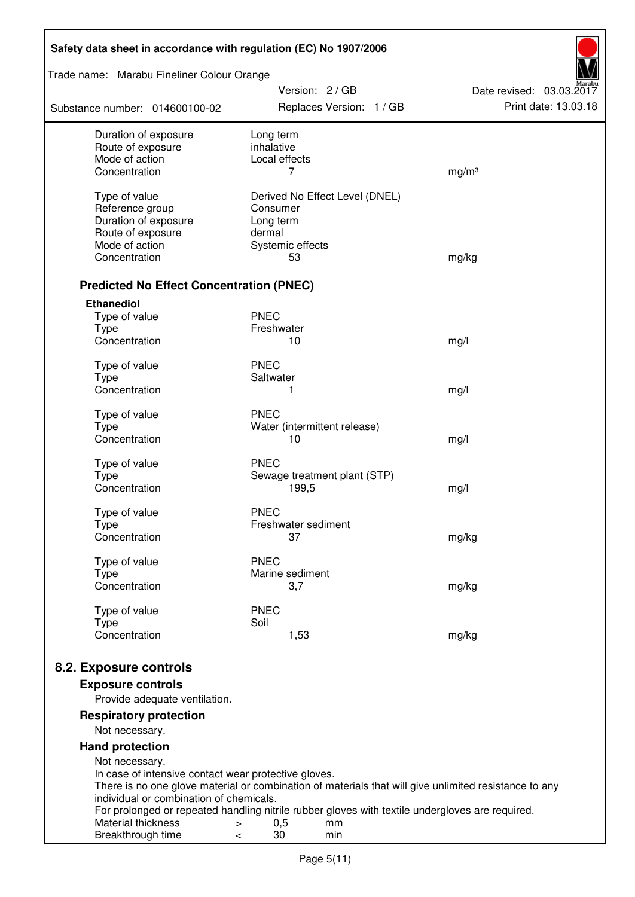| Safety data sheet in accordance with regulation (EC) No 1907/2006 |                                                                                                                   |                                                  |  |  |
|-------------------------------------------------------------------|-------------------------------------------------------------------------------------------------------------------|--------------------------------------------------|--|--|
| Trade name: Marabu Fineliner Colour Orange                        |                                                                                                                   |                                                  |  |  |
| Substance number: 014600100-02                                    | Version: 2/GB<br>Replaces Version: 1 / GB                                                                         | Date revised: 03.03.2017<br>Print date: 13.03.18 |  |  |
| Duration of exposure                                              | Long term                                                                                                         |                                                  |  |  |
| Route of exposure                                                 | inhalative                                                                                                        |                                                  |  |  |
| Mode of action                                                    | Local effects                                                                                                     |                                                  |  |  |
| Concentration                                                     | 7                                                                                                                 | mg/m <sup>3</sup>                                |  |  |
| Type of value                                                     | Derived No Effect Level (DNEL)                                                                                    |                                                  |  |  |
| Reference group                                                   | Consumer                                                                                                          |                                                  |  |  |
| Duration of exposure                                              | Long term                                                                                                         |                                                  |  |  |
| Route of exposure                                                 | dermal                                                                                                            |                                                  |  |  |
| Mode of action                                                    | Systemic effects                                                                                                  |                                                  |  |  |
| Concentration                                                     | 53                                                                                                                | mg/kg                                            |  |  |
| <b>Predicted No Effect Concentration (PNEC)</b>                   |                                                                                                                   |                                                  |  |  |
| <b>Ethanediol</b>                                                 |                                                                                                                   |                                                  |  |  |
| Type of value                                                     | <b>PNEC</b>                                                                                                       |                                                  |  |  |
| <b>Type</b>                                                       | Freshwater                                                                                                        |                                                  |  |  |
| Concentration                                                     | 10                                                                                                                | mg/l                                             |  |  |
| Type of value                                                     | <b>PNEC</b>                                                                                                       |                                                  |  |  |
| <b>Type</b>                                                       | Saltwater                                                                                                         |                                                  |  |  |
| Concentration                                                     | 1                                                                                                                 | mg/l                                             |  |  |
|                                                                   |                                                                                                                   |                                                  |  |  |
| Type of value                                                     | <b>PNEC</b>                                                                                                       |                                                  |  |  |
| <b>Type</b><br>Concentration                                      | Water (intermittent release)<br>10                                                                                |                                                  |  |  |
|                                                                   |                                                                                                                   | mg/l                                             |  |  |
| Type of value                                                     | <b>PNEC</b>                                                                                                       |                                                  |  |  |
| <b>Type</b>                                                       | Sewage treatment plant (STP)                                                                                      |                                                  |  |  |
| Concentration                                                     | 199,5                                                                                                             | mg/l                                             |  |  |
| Type of value                                                     | <b>PNEC</b>                                                                                                       |                                                  |  |  |
| <b>Type</b>                                                       | Freshwater sediment                                                                                               |                                                  |  |  |
| Concentration                                                     | 37                                                                                                                | mg/kg                                            |  |  |
|                                                                   | <b>PNEC</b>                                                                                                       |                                                  |  |  |
| Type of value<br>Type                                             | Marine sediment                                                                                                   |                                                  |  |  |
| Concentration                                                     | 3,7                                                                                                               | mg/kg                                            |  |  |
|                                                                   |                                                                                                                   |                                                  |  |  |
| Type of value                                                     | <b>PNEC</b>                                                                                                       |                                                  |  |  |
| <b>Type</b><br>Concentration                                      | Soil<br>1,53                                                                                                      | mg/kg                                            |  |  |
|                                                                   |                                                                                                                   |                                                  |  |  |
| 8.2. Exposure controls                                            |                                                                                                                   |                                                  |  |  |
| <b>Exposure controls</b>                                          |                                                                                                                   |                                                  |  |  |
| Provide adequate ventilation.                                     |                                                                                                                   |                                                  |  |  |
| <b>Respiratory protection</b><br>Not necessary.                   |                                                                                                                   |                                                  |  |  |
| <b>Hand protection</b>                                            |                                                                                                                   |                                                  |  |  |
| Not necessary.                                                    |                                                                                                                   |                                                  |  |  |
| In case of intensive contact wear protective gloves.              |                                                                                                                   |                                                  |  |  |
|                                                                   | There is no one glove material or combination of materials that will give unlimited resistance to any             |                                                  |  |  |
| individual or combination of chemicals.                           |                                                                                                                   |                                                  |  |  |
| Material thickness                                                | For prolonged or repeated handling nitrile rubber gloves with textile undergloves are required.<br>0,5<br>mm<br>> |                                                  |  |  |
| Breakthrough time                                                 | 30<br>min<br><                                                                                                    |                                                  |  |  |
|                                                                   |                                                                                                                   |                                                  |  |  |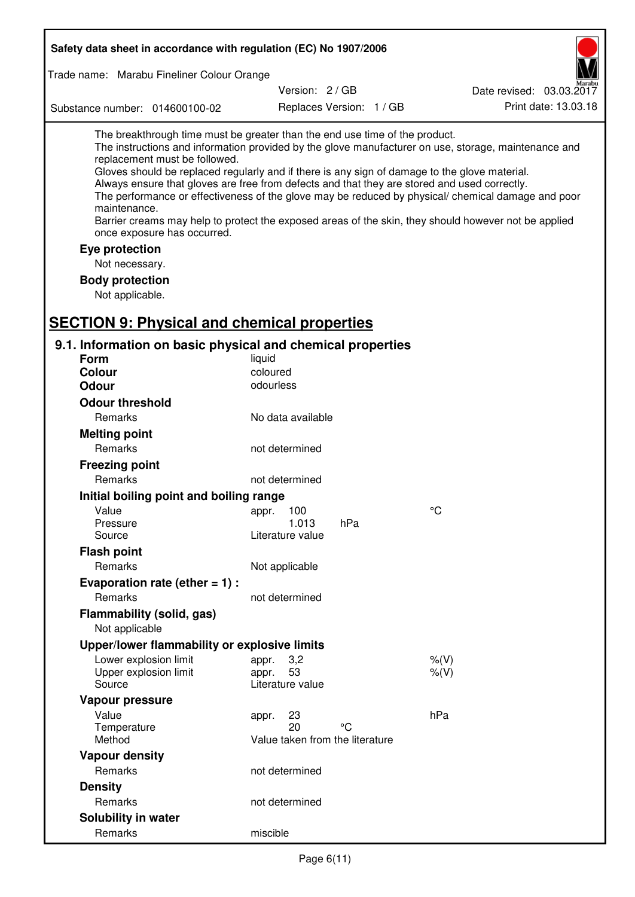| Safety data sheet in accordance with regulation (EC) No 1907/2006                                                                                                                                                                                                                                                                                                                                                                             |                                 |                          |                                                                                                                                                                                                                                                                                                                    |
|-----------------------------------------------------------------------------------------------------------------------------------------------------------------------------------------------------------------------------------------------------------------------------------------------------------------------------------------------------------------------------------------------------------------------------------------------|---------------------------------|--------------------------|--------------------------------------------------------------------------------------------------------------------------------------------------------------------------------------------------------------------------------------------------------------------------------------------------------------------|
| Trade name: Marabu Fineliner Colour Orange                                                                                                                                                                                                                                                                                                                                                                                                    |                                 |                          |                                                                                                                                                                                                                                                                                                                    |
|                                                                                                                                                                                                                                                                                                                                                                                                                                               | Version: 2 / GB                 |                          | Date revised: 03.03.2017                                                                                                                                                                                                                                                                                           |
| Substance number: 014600100-02                                                                                                                                                                                                                                                                                                                                                                                                                |                                 | Replaces Version: 1 / GB | Print date: 13.03.18                                                                                                                                                                                                                                                                                               |
| The breakthrough time must be greater than the end use time of the product.<br>replacement must be followed.<br>Gloves should be replaced regularly and if there is any sign of damage to the glove material.<br>Always ensure that gloves are free from defects and that they are stored and used correctly.<br>maintenance.<br>once exposure has occurred.<br>Eye protection<br>Not necessary.<br><b>Body protection</b><br>Not applicable. |                                 |                          | The instructions and information provided by the glove manufacturer on use, storage, maintenance and<br>The performance or effectiveness of the glove may be reduced by physical/ chemical damage and poor<br>Barrier creams may help to protect the exposed areas of the skin, they should however not be applied |
| <b>SECTION 9: Physical and chemical properties</b>                                                                                                                                                                                                                                                                                                                                                                                            |                                 |                          |                                                                                                                                                                                                                                                                                                                    |
| 9.1. Information on basic physical and chemical properties<br>Form                                                                                                                                                                                                                                                                                                                                                                            | liquid                          |                          |                                                                                                                                                                                                                                                                                                                    |
| <b>Colour</b>                                                                                                                                                                                                                                                                                                                                                                                                                                 | coloured                        |                          |                                                                                                                                                                                                                                                                                                                    |
| <b>Odour</b>                                                                                                                                                                                                                                                                                                                                                                                                                                  | odourless                       |                          |                                                                                                                                                                                                                                                                                                                    |
| <b>Odour threshold</b>                                                                                                                                                                                                                                                                                                                                                                                                                        |                                 |                          |                                                                                                                                                                                                                                                                                                                    |
| Remarks                                                                                                                                                                                                                                                                                                                                                                                                                                       | No data available               |                          |                                                                                                                                                                                                                                                                                                                    |
| <b>Melting point</b>                                                                                                                                                                                                                                                                                                                                                                                                                          |                                 |                          |                                                                                                                                                                                                                                                                                                                    |
| Remarks                                                                                                                                                                                                                                                                                                                                                                                                                                       | not determined                  |                          |                                                                                                                                                                                                                                                                                                                    |
| <b>Freezing point</b>                                                                                                                                                                                                                                                                                                                                                                                                                         |                                 |                          |                                                                                                                                                                                                                                                                                                                    |
| Remarks                                                                                                                                                                                                                                                                                                                                                                                                                                       | not determined                  |                          |                                                                                                                                                                                                                                                                                                                    |
| Initial boiling point and boiling range                                                                                                                                                                                                                                                                                                                                                                                                       |                                 |                          |                                                                                                                                                                                                                                                                                                                    |
| Value                                                                                                                                                                                                                                                                                                                                                                                                                                         | 100<br>appr.                    |                          | $\rm ^{\circ}C$                                                                                                                                                                                                                                                                                                    |
| Pressure                                                                                                                                                                                                                                                                                                                                                                                                                                      | 1.013                           | hPa                      |                                                                                                                                                                                                                                                                                                                    |
| Source                                                                                                                                                                                                                                                                                                                                                                                                                                        | Literature value                |                          |                                                                                                                                                                                                                                                                                                                    |
| <b>Flash point</b>                                                                                                                                                                                                                                                                                                                                                                                                                            |                                 |                          |                                                                                                                                                                                                                                                                                                                    |
| Remarks                                                                                                                                                                                                                                                                                                                                                                                                                                       | Not applicable                  |                          |                                                                                                                                                                                                                                                                                                                    |
| Evaporation rate (ether $= 1$ ) :                                                                                                                                                                                                                                                                                                                                                                                                             |                                 |                          |                                                                                                                                                                                                                                                                                                                    |
| Remarks                                                                                                                                                                                                                                                                                                                                                                                                                                       | not determined                  |                          |                                                                                                                                                                                                                                                                                                                    |
| Flammability (solid, gas)<br>Not applicable                                                                                                                                                                                                                                                                                                                                                                                                   |                                 |                          |                                                                                                                                                                                                                                                                                                                    |
| Upper/lower flammability or explosive limits                                                                                                                                                                                                                                                                                                                                                                                                  |                                 |                          |                                                                                                                                                                                                                                                                                                                    |
| Lower explosion limit                                                                                                                                                                                                                                                                                                                                                                                                                         | 3,2<br>appr.                    |                          | $%$ (V)                                                                                                                                                                                                                                                                                                            |
| Upper explosion limit                                                                                                                                                                                                                                                                                                                                                                                                                         | 53<br>appr.                     |                          | $%$ (V)                                                                                                                                                                                                                                                                                                            |
| Source                                                                                                                                                                                                                                                                                                                                                                                                                                        | Literature value                |                          |                                                                                                                                                                                                                                                                                                                    |
| Vapour pressure                                                                                                                                                                                                                                                                                                                                                                                                                               |                                 |                          |                                                                                                                                                                                                                                                                                                                    |
| Value<br>Temperature                                                                                                                                                                                                                                                                                                                                                                                                                          | 23<br>appr.<br>20               | °C                       | hPa                                                                                                                                                                                                                                                                                                                |
| Method                                                                                                                                                                                                                                                                                                                                                                                                                                        | Value taken from the literature |                          |                                                                                                                                                                                                                                                                                                                    |
| <b>Vapour density</b>                                                                                                                                                                                                                                                                                                                                                                                                                         |                                 |                          |                                                                                                                                                                                                                                                                                                                    |
| Remarks                                                                                                                                                                                                                                                                                                                                                                                                                                       | not determined                  |                          |                                                                                                                                                                                                                                                                                                                    |
| <b>Density</b>                                                                                                                                                                                                                                                                                                                                                                                                                                |                                 |                          |                                                                                                                                                                                                                                                                                                                    |
| Remarks                                                                                                                                                                                                                                                                                                                                                                                                                                       | not determined                  |                          |                                                                                                                                                                                                                                                                                                                    |
| Solubility in water                                                                                                                                                                                                                                                                                                                                                                                                                           |                                 |                          |                                                                                                                                                                                                                                                                                                                    |
| Remarks                                                                                                                                                                                                                                                                                                                                                                                                                                       | miscible                        |                          |                                                                                                                                                                                                                                                                                                                    |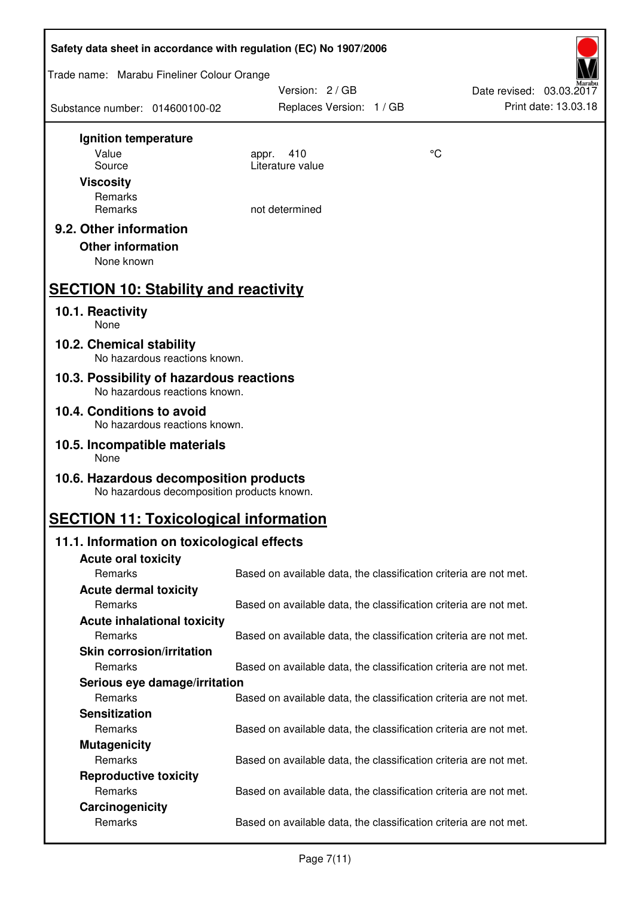| Safety data sheet in accordance with regulation (EC) No 1907/2006                    |                                                                   |    |                          |  |
|--------------------------------------------------------------------------------------|-------------------------------------------------------------------|----|--------------------------|--|
| Trade name: Marabu Fineliner Colour Orange                                           |                                                                   |    |                          |  |
|                                                                                      | Version: 2 / GB                                                   |    | Date revised: 03.03.2017 |  |
| Substance number: 014600100-02                                                       | Replaces Version: 1 / GB                                          |    | Print date: 13.03.18     |  |
| Ignition temperature                                                                 |                                                                   |    |                          |  |
| Value                                                                                | 410<br>appr.                                                      | °C |                          |  |
| Source                                                                               | Literature value                                                  |    |                          |  |
| <b>Viscosity</b>                                                                     |                                                                   |    |                          |  |
| Remarks<br>Remarks                                                                   | not determined                                                    |    |                          |  |
| 9.2. Other information                                                               |                                                                   |    |                          |  |
| <b>Other information</b>                                                             |                                                                   |    |                          |  |
| None known                                                                           |                                                                   |    |                          |  |
|                                                                                      |                                                                   |    |                          |  |
| <b>SECTION 10: Stability and reactivity</b>                                          |                                                                   |    |                          |  |
| 10.1. Reactivity                                                                     |                                                                   |    |                          |  |
| None                                                                                 |                                                                   |    |                          |  |
| 10.2. Chemical stability<br>No hazardous reactions known.                            |                                                                   |    |                          |  |
| 10.3. Possibility of hazardous reactions<br>No hazardous reactions known.            |                                                                   |    |                          |  |
| 10.4. Conditions to avoid                                                            |                                                                   |    |                          |  |
| No hazardous reactions known.                                                        |                                                                   |    |                          |  |
| 10.5. Incompatible materials<br>None                                                 |                                                                   |    |                          |  |
| 10.6. Hazardous decomposition products<br>No hazardous decomposition products known. |                                                                   |    |                          |  |
| <b>SECTION 11: Toxicological information</b>                                         |                                                                   |    |                          |  |
| 11.1. Information on toxicological effects                                           |                                                                   |    |                          |  |
| <b>Acute oral toxicity</b>                                                           |                                                                   |    |                          |  |
| Remarks                                                                              | Based on available data, the classification criteria are not met. |    |                          |  |
| <b>Acute dermal toxicity</b>                                                         |                                                                   |    |                          |  |
| Remarks                                                                              | Based on available data, the classification criteria are not met. |    |                          |  |
| <b>Acute inhalational toxicity</b><br>Remarks                                        | Based on available data, the classification criteria are not met. |    |                          |  |
| <b>Skin corrosion/irritation</b>                                                     |                                                                   |    |                          |  |
| Remarks                                                                              | Based on available data, the classification criteria are not met. |    |                          |  |
| Serious eye damage/irritation                                                        |                                                                   |    |                          |  |
| Remarks                                                                              | Based on available data, the classification criteria are not met. |    |                          |  |
| <b>Sensitization</b>                                                                 |                                                                   |    |                          |  |
| Remarks                                                                              | Based on available data, the classification criteria are not met. |    |                          |  |
| <b>Mutagenicity</b>                                                                  |                                                                   |    |                          |  |
| Remarks                                                                              | Based on available data, the classification criteria are not met. |    |                          |  |
| <b>Reproductive toxicity</b>                                                         |                                                                   |    |                          |  |
| Remarks                                                                              | Based on available data, the classification criteria are not met. |    |                          |  |
| Carcinogenicity<br>Remarks                                                           | Based on available data, the classification criteria are not met. |    |                          |  |
|                                                                                      |                                                                   |    |                          |  |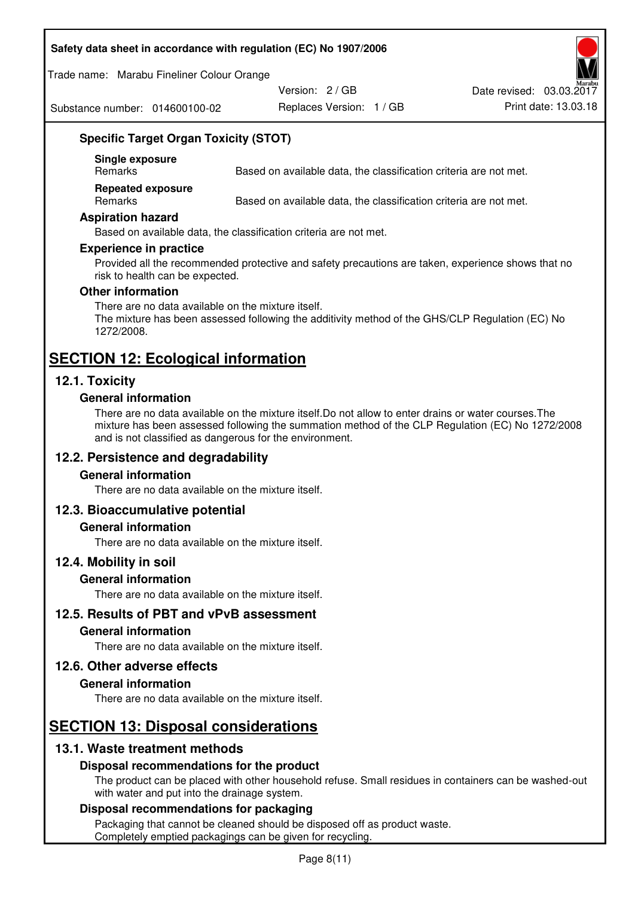#### **Safety data sheet in accordance with regulation (EC) No 1907/2006**

Trade name: Marabu Fineliner Colour Orange

Substance number: 014600100-02

Version: 2 / GB

Replaces Version: 1 / GB Print date: 13.03.18 Date revised: 03.03.2017

## **Specific Target Organ Toxicity (STOT)**

**Single exposure** 

Based on available data, the classification criteria are not met.

**Repeated exposure** 

Remarks Based on available data, the classification criteria are not met.

#### **Aspiration hazard**

Based on available data, the classification criteria are not met.

#### **Experience in practice**

Provided all the recommended protective and safety precautions are taken, experience shows that no risk to health can be expected.

#### **Other information**

There are no data available on the mixture itself. The mixture has been assessed following the additivity method of the GHS/CLP Regulation (EC) No 1272/2008.

## **SECTION 12: Ecological information**

## **12.1. Toxicity**

#### **General information**

There are no data available on the mixture itself.Do not allow to enter drains or water courses.The mixture has been assessed following the summation method of the CLP Regulation (EC) No 1272/2008 and is not classified as dangerous for the environment.

## **12.2. Persistence and degradability**

#### **General information**

There are no data available on the mixture itself.

## **12.3. Bioaccumulative potential**

#### **General information**

There are no data available on the mixture itself.

#### **12.4. Mobility in soil**

#### **General information**

There are no data available on the mixture itself.

**12.5. Results of PBT and vPvB assessment** 

#### **General information**

There are no data available on the mixture itself.

#### **12.6. Other adverse effects**

#### **General information**

There are no data available on the mixture itself.

# **SECTION 13: Disposal considerations**

## **13.1. Waste treatment methods**

#### **Disposal recommendations for the product**

The product can be placed with other household refuse. Small residues in containers can be washed-out with water and put into the drainage system.

#### **Disposal recommendations for packaging**

Packaging that cannot be cleaned should be disposed off as product waste. Completely emptied packagings can be given for recycling.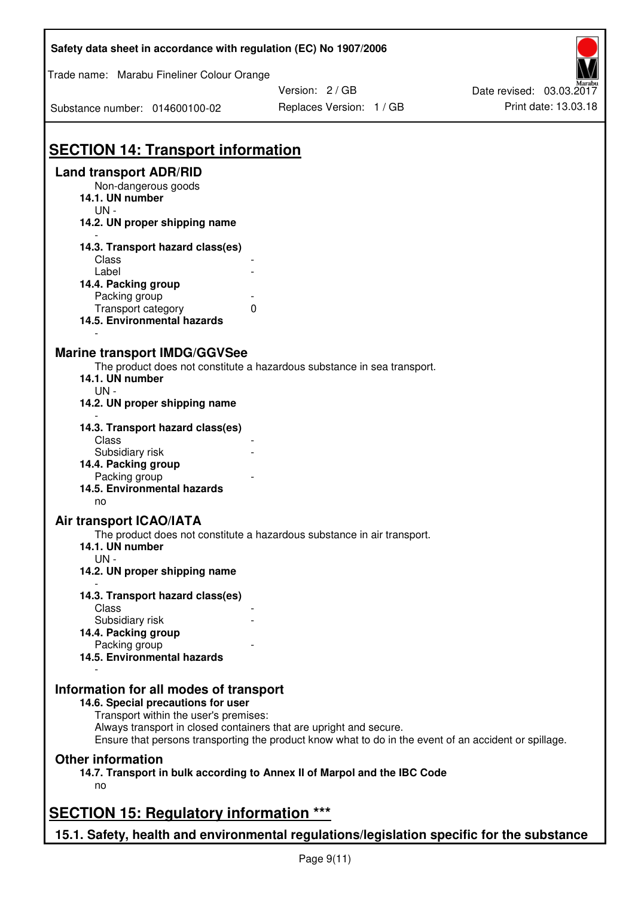| Safety data sheet in accordance with regulation (EC) No 1907/2006                         |                                                                                                       |                          |
|-------------------------------------------------------------------------------------------|-------------------------------------------------------------------------------------------------------|--------------------------|
| Trade name: Marabu Fineliner Colour Orange                                                |                                                                                                       |                          |
|                                                                                           | Version: 2 / GB                                                                                       | Date revised: 03.03.2017 |
| Substance number: 014600100-02                                                            | Replaces Version: 1 / GB                                                                              | Print date: 13.03.18     |
|                                                                                           |                                                                                                       |                          |
| <b>SECTION 14: Transport information</b>                                                  |                                                                                                       |                          |
| <b>Land transport ADR/RID</b><br>Non-dangerous goods                                      |                                                                                                       |                          |
| 14.1. UN number<br>$UN -$                                                                 |                                                                                                       |                          |
| 14.2. UN proper shipping name                                                             |                                                                                                       |                          |
| 14.3. Transport hazard class(es)                                                          |                                                                                                       |                          |
| Class                                                                                     |                                                                                                       |                          |
| Label                                                                                     |                                                                                                       |                          |
| 14.4. Packing group                                                                       |                                                                                                       |                          |
| Packing group                                                                             |                                                                                                       |                          |
| Transport category<br>14.5. Environmental hazards                                         | 0                                                                                                     |                          |
|                                                                                           |                                                                                                       |                          |
| <b>Marine transport IMDG/GGVSee</b>                                                       |                                                                                                       |                          |
| 14.1. UN number                                                                           | The product does not constitute a hazardous substance in sea transport.                               |                          |
| $UN -$                                                                                    |                                                                                                       |                          |
| 14.2. UN proper shipping name                                                             |                                                                                                       |                          |
| 14.3. Transport hazard class(es)                                                          |                                                                                                       |                          |
| Class                                                                                     |                                                                                                       |                          |
| Subsidiary risk                                                                           |                                                                                                       |                          |
| 14.4. Packing group                                                                       |                                                                                                       |                          |
| Packing group                                                                             |                                                                                                       |                          |
| 14.5. Environmental hazards<br>no                                                         |                                                                                                       |                          |
| <b>Air transport ICAO/IATA</b>                                                            |                                                                                                       |                          |
|                                                                                           | The product does not constitute a hazardous substance in air transport.                               |                          |
| 14.1. UN number<br>$UN -$                                                                 |                                                                                                       |                          |
| 14.2. UN proper shipping name                                                             |                                                                                                       |                          |
| 14.3. Transport hazard class(es)<br>Class                                                 |                                                                                                       |                          |
| Subsidiary risk                                                                           |                                                                                                       |                          |
| 14.4. Packing group                                                                       |                                                                                                       |                          |
| Packing group                                                                             |                                                                                                       |                          |
| 14.5. Environmental hazards                                                               |                                                                                                       |                          |
| Information for all modes of transport                                                    |                                                                                                       |                          |
| 14.6. Special precautions for user                                                        |                                                                                                       |                          |
| Transport within the user's premises:                                                     |                                                                                                       |                          |
| Always transport in closed containers that are upright and secure.                        | Ensure that persons transporting the product know what to do in the event of an accident or spillage. |                          |
| <b>Other information</b>                                                                  |                                                                                                       |                          |
|                                                                                           | 14.7. Transport in bulk according to Annex II of Marpol and the IBC Code                              |                          |
| no                                                                                        |                                                                                                       |                          |
| <b>SECTION 15: Regulatory information ***</b>                                             |                                                                                                       |                          |
| 15.1. Safety, health and environmental regulations/legislation specific for the substance |                                                                                                       |                          |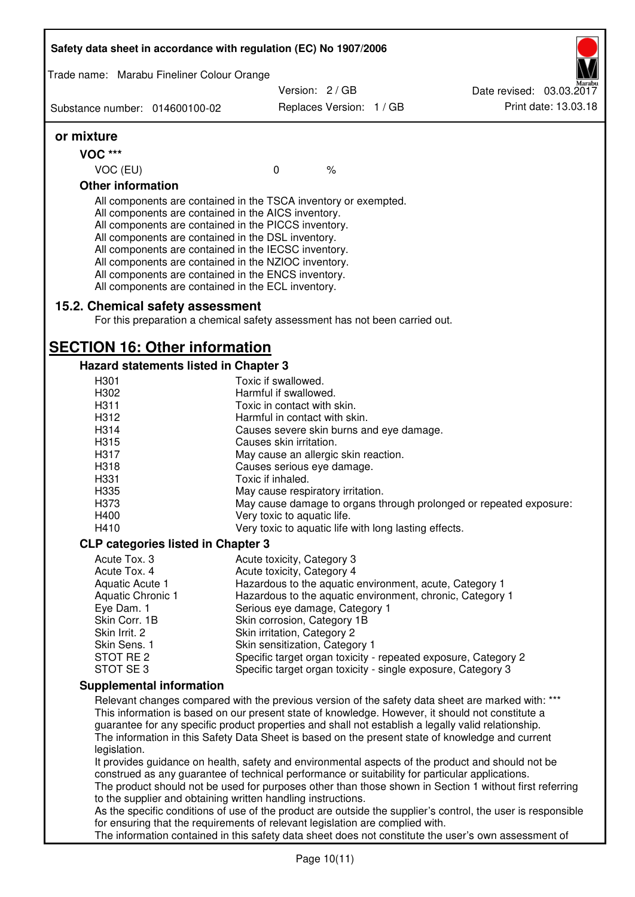| Safety data sheet in accordance with regulation (EC) No 1907/2006                                                                                                                                                                                                                                                                                                                                                                                                 |                                                                                                                                                                                                                                                                                                             |                          |  |                                                                                                         |
|-------------------------------------------------------------------------------------------------------------------------------------------------------------------------------------------------------------------------------------------------------------------------------------------------------------------------------------------------------------------------------------------------------------------------------------------------------------------|-------------------------------------------------------------------------------------------------------------------------------------------------------------------------------------------------------------------------------------------------------------------------------------------------------------|--------------------------|--|---------------------------------------------------------------------------------------------------------|
| Trade name: Marabu Fineliner Colour Orange                                                                                                                                                                                                                                                                                                                                                                                                                        |                                                                                                                                                                                                                                                                                                             |                          |  |                                                                                                         |
|                                                                                                                                                                                                                                                                                                                                                                                                                                                                   | Version: 2 / GB                                                                                                                                                                                                                                                                                             |                          |  | Date revised: 03.03.2017                                                                                |
| Substance number: 014600100-02                                                                                                                                                                                                                                                                                                                                                                                                                                    |                                                                                                                                                                                                                                                                                                             | Replaces Version: 1 / GB |  | Print date: 13.03.18                                                                                    |
| or mixture                                                                                                                                                                                                                                                                                                                                                                                                                                                        |                                                                                                                                                                                                                                                                                                             |                          |  |                                                                                                         |
| <b>VOC ***</b>                                                                                                                                                                                                                                                                                                                                                                                                                                                    |                                                                                                                                                                                                                                                                                                             |                          |  |                                                                                                         |
| VOC (EU)                                                                                                                                                                                                                                                                                                                                                                                                                                                          | $\mathbf 0$                                                                                                                                                                                                                                                                                                 | $\frac{1}{6}$            |  |                                                                                                         |
| <b>Other information</b>                                                                                                                                                                                                                                                                                                                                                                                                                                          |                                                                                                                                                                                                                                                                                                             |                          |  |                                                                                                         |
| All components are contained in the TSCA inventory or exempted.<br>All components are contained in the AICS inventory.<br>All components are contained in the PICCS inventory.<br>All components are contained in the DSL inventory.<br>All components are contained in the IECSC inventory.<br>All components are contained in the NZIOC inventory.<br>All components are contained in the ENCS inventory.<br>All components are contained in the ECL inventory. |                                                                                                                                                                                                                                                                                                             |                          |  |                                                                                                         |
| 15.2. Chemical safety assessment<br>For this preparation a chemical safety assessment has not been carried out.                                                                                                                                                                                                                                                                                                                                                   |                                                                                                                                                                                                                                                                                                             |                          |  |                                                                                                         |
| <b>SECTION 16: Other information</b>                                                                                                                                                                                                                                                                                                                                                                                                                              |                                                                                                                                                                                                                                                                                                             |                          |  |                                                                                                         |
| Hazard statements listed in Chapter 3                                                                                                                                                                                                                                                                                                                                                                                                                             |                                                                                                                                                                                                                                                                                                             |                          |  |                                                                                                         |
| H301                                                                                                                                                                                                                                                                                                                                                                                                                                                              | Toxic if swallowed.                                                                                                                                                                                                                                                                                         |                          |  |                                                                                                         |
| H302<br>H311                                                                                                                                                                                                                                                                                                                                                                                                                                                      | Harmful if swallowed.<br>Toxic in contact with skin.                                                                                                                                                                                                                                                        |                          |  |                                                                                                         |
| H312                                                                                                                                                                                                                                                                                                                                                                                                                                                              |                                                                                                                                                                                                                                                                                                             |                          |  |                                                                                                         |
|                                                                                                                                                                                                                                                                                                                                                                                                                                                                   | Harmful in contact with skin.                                                                                                                                                                                                                                                                               |                          |  |                                                                                                         |
| H314                                                                                                                                                                                                                                                                                                                                                                                                                                                              | Causes severe skin burns and eye damage.                                                                                                                                                                                                                                                                    |                          |  |                                                                                                         |
| H315                                                                                                                                                                                                                                                                                                                                                                                                                                                              | Causes skin irritation.                                                                                                                                                                                                                                                                                     |                          |  |                                                                                                         |
| H317                                                                                                                                                                                                                                                                                                                                                                                                                                                              | May cause an allergic skin reaction.                                                                                                                                                                                                                                                                        |                          |  |                                                                                                         |
| H318                                                                                                                                                                                                                                                                                                                                                                                                                                                              | Causes serious eye damage.                                                                                                                                                                                                                                                                                  |                          |  |                                                                                                         |
| H331                                                                                                                                                                                                                                                                                                                                                                                                                                                              | Toxic if inhaled.                                                                                                                                                                                                                                                                                           |                          |  |                                                                                                         |
| H335                                                                                                                                                                                                                                                                                                                                                                                                                                                              | May cause respiratory irritation.                                                                                                                                                                                                                                                                           |                          |  |                                                                                                         |
| H373                                                                                                                                                                                                                                                                                                                                                                                                                                                              |                                                                                                                                                                                                                                                                                                             |                          |  | May cause damage to organs through prolonged or repeated exposure:                                      |
| H400                                                                                                                                                                                                                                                                                                                                                                                                                                                              | Very toxic to aquatic life.                                                                                                                                                                                                                                                                                 |                          |  |                                                                                                         |
| H410                                                                                                                                                                                                                                                                                                                                                                                                                                                              | Very toxic to aquatic life with long lasting effects.                                                                                                                                                                                                                                                       |                          |  |                                                                                                         |
| <b>CLP categories listed in Chapter 3</b>                                                                                                                                                                                                                                                                                                                                                                                                                         |                                                                                                                                                                                                                                                                                                             |                          |  |                                                                                                         |
| Acute Tox. 3                                                                                                                                                                                                                                                                                                                                                                                                                                                      | Acute toxicity, Category 3                                                                                                                                                                                                                                                                                  |                          |  |                                                                                                         |
| Acute Tox. 4                                                                                                                                                                                                                                                                                                                                                                                                                                                      | Acute toxicity, Category 4                                                                                                                                                                                                                                                                                  |                          |  |                                                                                                         |
| Aquatic Acute 1                                                                                                                                                                                                                                                                                                                                                                                                                                                   | Hazardous to the aquatic environment, acute, Category 1                                                                                                                                                                                                                                                     |                          |  |                                                                                                         |
| <b>Aquatic Chronic 1</b>                                                                                                                                                                                                                                                                                                                                                                                                                                          | Hazardous to the aquatic environment, chronic, Category 1                                                                                                                                                                                                                                                   |                          |  |                                                                                                         |
| Eye Dam. 1<br>Skin Corr. 1B                                                                                                                                                                                                                                                                                                                                                                                                                                       | Serious eye damage, Category 1                                                                                                                                                                                                                                                                              |                          |  |                                                                                                         |
| Skin Irrit. 2                                                                                                                                                                                                                                                                                                                                                                                                                                                     | Skin corrosion, Category 1B<br>Skin irritation, Category 2                                                                                                                                                                                                                                                  |                          |  |                                                                                                         |
| Skin Sens. 1                                                                                                                                                                                                                                                                                                                                                                                                                                                      | Skin sensitization, Category 1                                                                                                                                                                                                                                                                              |                          |  |                                                                                                         |
| STOT RE 2                                                                                                                                                                                                                                                                                                                                                                                                                                                         |                                                                                                                                                                                                                                                                                                             |                          |  | Specific target organ toxicity - repeated exposure, Category 2                                          |
| STOT SE 3                                                                                                                                                                                                                                                                                                                                                                                                                                                         | Specific target organ toxicity - single exposure, Category 3                                                                                                                                                                                                                                                |                          |  |                                                                                                         |
| <b>Supplemental information</b>                                                                                                                                                                                                                                                                                                                                                                                                                                   |                                                                                                                                                                                                                                                                                                             |                          |  |                                                                                                         |
|                                                                                                                                                                                                                                                                                                                                                                                                                                                                   |                                                                                                                                                                                                                                                                                                             |                          |  | Relevant changes compared with the previous version of the safety data sheet are marked with: ***       |
|                                                                                                                                                                                                                                                                                                                                                                                                                                                                   |                                                                                                                                                                                                                                                                                                             |                          |  |                                                                                                         |
|                                                                                                                                                                                                                                                                                                                                                                                                                                                                   | This information is based on our present state of knowledge. However, it should not constitute a<br>guarantee for any specific product properties and shall not establish a legally valid relationship.<br>The information in this Safety Data Sheet is based on the present state of knowledge and current |                          |  |                                                                                                         |
| legislation.                                                                                                                                                                                                                                                                                                                                                                                                                                                      |                                                                                                                                                                                                                                                                                                             |                          |  |                                                                                                         |
|                                                                                                                                                                                                                                                                                                                                                                                                                                                                   |                                                                                                                                                                                                                                                                                                             |                          |  | It provides guidance on health, safety and environmental aspects of the product and should not be       |
| construed as any guarantee of technical performance or suitability for particular applications.                                                                                                                                                                                                                                                                                                                                                                   |                                                                                                                                                                                                                                                                                                             |                          |  |                                                                                                         |
|                                                                                                                                                                                                                                                                                                                                                                                                                                                                   |                                                                                                                                                                                                                                                                                                             |                          |  | The product should not be used for purposes other than those shown in Section 1 without first referring |
| to the supplier and obtaining written handling instructions.                                                                                                                                                                                                                                                                                                                                                                                                      |                                                                                                                                                                                                                                                                                                             |                          |  |                                                                                                         |
| As the specific conditions of use of the product are outside the supplier's control, the user is responsible<br>for ensuring that the requirements of relevant legislation are complied with.                                                                                                                                                                                                                                                                     |                                                                                                                                                                                                                                                                                                             |                          |  |                                                                                                         |
|                                                                                                                                                                                                                                                                                                                                                                                                                                                                   |                                                                                                                                                                                                                                                                                                             |                          |  | The information contained in this safety data sheet does not constitute the user's own assessment of    |